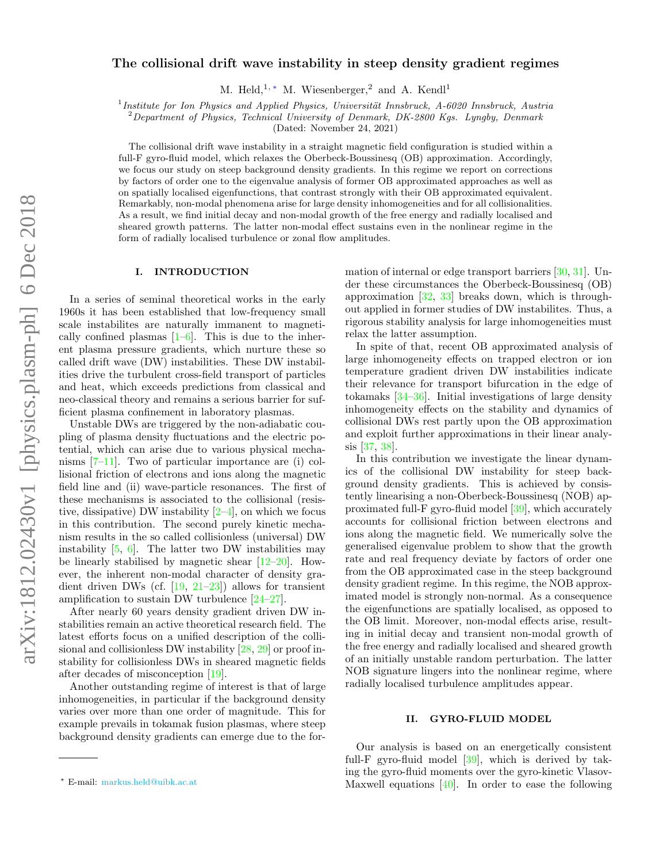# The collisional drift wave instability in steep density gradient regimes

M. Held,<sup>1, \*</sup> M. Wiesenberger,<sup>2</sup> and A. Kendl<sup>1</sup>

<sup>1</sup> Institute for Ion Physics and Applied Physics, Universität Innsbruck, A-6020 Innsbruck, Austria

 $^{2}$ Department of Physics, Technical University of Denmark, DK-2800 Kgs. Lyngby, Denmark

(Dated: November 24, 2021)

The collisional drift wave instability in a straight magnetic field configuration is studied within a full-F gyro-fluid model, which relaxes the Oberbeck-Boussinesq (OB) approximation. Accordingly, we focus our study on steep background density gradients. In this regime we report on corrections by factors of order one to the eigenvalue analysis of former OB approximated approaches as well as on spatially localised eigenfunctions, that contrast strongly with their OB approximated equivalent. Remarkably, non-modal phenomena arise for large density inhomogeneities and for all collisionalities. As a result, we find initial decay and non-modal growth of the free energy and radially localised and sheared growth patterns. The latter non-modal effect sustains even in the nonlinear regime in the form of radially localised turbulence or zonal flow amplitudes.

## I. INTRODUCTION

In a series of seminal theoretical works in the early 1960s it has been established that low-frequency small scale instabilites are naturally immanent to magnetically confined plasmas  $[1-6]$  $[1-6]$ . This is due to the inherent plasma pressure gradients, which nurture these so called drift wave (DW) instabilities. These DW instabilities drive the turbulent cross-field transport of particles and heat, which exceeds predictions from classical and neo-classical theory and remains a serious barrier for sufficient plasma confinement in laboratory plasmas.

Unstable DWs are triggered by the non-adiabatic coupling of plasma density fluctuations and the electric potential, which can arise due to various physical mechanisms  $[7-11]$  $[7-11]$ . Two of particular importance are (i) collisional friction of electrons and ions along the magnetic field line and (ii) wave-particle resonances. The first of these mechanisms is associated to the collisional (resistive, dissipative) DW instability  $[2-4]$  $[2-4]$ , on which we focus in this contribution. The second purely kinetic mechanism results in the so called collisionless (universal) DW instability [\[5,](#page-5-6) [6\]](#page-5-1). The latter two DW instabilities may be linearly stabilised by magnetic shear  $[12-20]$  $[12-20]$ . However, the inherent non-modal character of density gradient driven DWs (cf.  $[19, 21-23]$  $[19, 21-23]$  $[19, 21-23]$ ) allows for transient amplification to sustain DW turbulence [\[24–](#page-6-1)[27\]](#page-6-2).

After nearly 60 years density gradient driven DW instabilities remain an active theoretical research field. The latest efforts focus on a unified description of the collisional and collisionless DW instability [\[28,](#page-6-3) [29\]](#page-6-4) or proof instability for collisionless DWs in sheared magnetic fields after decades of misconception [\[19\]](#page-5-9).

Another outstanding regime of interest is that of large inhomogeneities, in particular if the background density varies over more than one order of magnitude. This for example prevails in tokamak fusion plasmas, where steep background density gradients can emerge due to the formation of internal or edge transport barriers [\[30,](#page-6-5) [31\]](#page-6-6). Under these circumstances the Oberbeck-Boussinesq (OB) approximation [\[32,](#page-6-7) [33\]](#page-6-8) breaks down, which is throughout applied in former studies of DW instabilites. Thus, a rigorous stability analysis for large inhomogeneities must relax the latter assumption.

In spite of that, recent OB approximated analysis of large inhomogeneity effects on trapped electron or ion temperature gradient driven DW instabilities indicate their relevance for transport bifurcation in the edge of tokamaks [\[34–](#page-6-9)[36\]](#page-6-10). Initial investigations of large density inhomogeneity effects on the stability and dynamics of collisional DWs rest partly upon the OB approximation and exploit further approximations in their linear analysis [\[37,](#page-6-11) [38\]](#page-6-12).

In this contribution we investigate the linear dynamics of the collisional DW instability for steep background density gradients. This is achieved by consistently linearising a non-Oberbeck-Boussinesq (NOB) approximated full-F gyro-fluid model [\[39\]](#page-6-13), which accurately accounts for collisional friction between electrons and ions along the magnetic field. We numerically solve the generalised eigenvalue problem to show that the growth rate and real frequency deviate by factors of order one from the OB approximated case in the steep background density gradient regime. In this regime, the NOB approximated model is strongly non-normal. As a consequence the eigenfunctions are spatially localised, as opposed to the OB limit. Moreover, non-modal effects arise, resulting in initial decay and transient non-modal growth of the free energy and radially localised and sheared growth of an initially unstable random perturbation. The latter NOB signature lingers into the nonlinear regime, where radially localised turbulence amplitudes appear.

### II. GYRO-FLUID MODEL

Our analysis is based on an energetically consistent full-F gyro-fluid model [\[39\]](#page-6-13), which is derived by taking the gyro-fluid moments over the gyro-kinetic Vlasov-Maxwell equations  $[40]$ . In order to ease the following

<span id="page-0-0"></span><sup>∗</sup> E-mail: [markus.held@uibk.ac.at](mailto:markus.held@uibk.ac.at)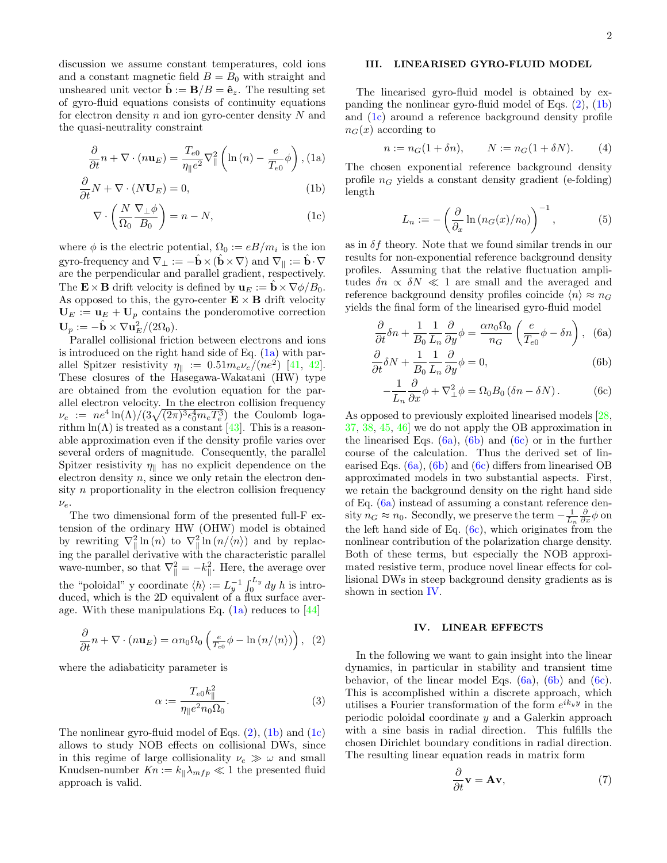discussion we assume constant temperatures, cold ions and a constant magnetic field  $B = B_0$  with straight and unsheared unit vector  $\hat{\mathbf{b}} := \mathbf{B}/B = \hat{\mathbf{e}}_z$ . The resulting set of gyro-fluid equations consists of continuity equations for electron density  $n$  and ion gyro-center density  $N$  and the quasi-neutrality constraint

<span id="page-1-0"></span>
$$
\frac{\partial}{\partial t}n + \nabla \cdot (n\mathbf{u}_E) = \frac{T_{e0}}{\eta_{\parallel}e^2} \nabla_{\parallel}^2 \left( \ln(n) - \frac{e}{T_{e0}} \phi \right), \text{(1a)}
$$

$$
\frac{\partial}{\partial t}N + \nabla \cdot (N \mathbf{U}_E) = 0,\tag{1b}
$$

$$
\nabla \cdot \left( \frac{N}{\Omega_0} \frac{\nabla_\perp \phi}{B_0} \right) = n - N,\tag{1c}
$$

where  $\phi$  is the electric potential,  $\Omega_0 := eB/m_i$  is the ion gyro-frequency and  $\nabla_{\perp} := -\mathbf{b} \times (\mathbf{b} \times \nabla)$  and  $\nabla_{\parallel} := \mathbf{b} \cdot \nabla$ are the perpendicular and parallel gradient, respectively. The  $\mathbf{E} \times \mathbf{B}$  drift velocity is defined by  $\mathbf{u}_E := \mathbf{b} \times \nabla \phi / B_0$ . As opposed to this, the gyro-center  $\mathbf{E} \times \mathbf{B}$  drift velocity  $U_E := \mathbf{u}_E + \mathbf{U}_p$  contains the ponderomotive correction  $\mathbf{U}_p := -\hat{\mathbf{b}} \times \nabla \mathbf{u}_E^2/(2\Omega_0).$ 

Parallel collisional friction between electrons and ions is introduced on the right hand side of Eq.  $(1a)$  with parallel Spitzer resistivity  $\eta_{\parallel} := 0.51 m_e \nu_e / (n e^2)$  [\[41,](#page-6-15) [42\]](#page-6-16). These closures of the Hasegawa-Wakatani (HW) type are obtained from the evolution equation for the parallel electron velocity. In the electron collision frequency  $\nu_e := ne^4 \ln(\Lambda) / (3 \sqrt{(2\pi)^3 \epsilon_0^4 m_e T_e^3})$  the Coulomb logarithm  $\ln(\Lambda)$  is treated as a constant [\[43\]](#page-6-17). This is a reasonable approximation even if the density profile varies over several orders of magnitude. Consequently, the parallel Spitzer resistivity  $\eta_{\parallel}$  has no explicit dependence on the electron density  $n$ , since we only retain the electron density  $n$  proportionality in the electron collision frequency  $\nu_e$ .

The two dimensional form of the presented full-F extension of the ordinary HW (OHW) model is obtained by rewriting  $\nabla_{\parallel}^2 \ln(n)$  to  $\nabla_{\parallel}^2 \ln(n/\langle n \rangle)$  and by replacing the parallel derivative with the characteristic parallel wave-number, so that  $\nabla_{\parallel}^2 = -k_{\parallel}^2$ . Here, the average over the "poloidal" y coordinate  $\langle h \rangle := L_y^{-1} \int_0^{L_y} dy h$  is introduced, which is the 2D equivalent of a flux surface average. With these manipulations Eq.  $(1a)$  reduces to [\[44\]](#page-6-18)

<span id="page-1-1"></span>
$$
\frac{\partial}{\partial t}n + \nabla \cdot (n\mathbf{u}_E) = \alpha n_0 \Omega_0 \left(\frac{e}{T_{\text{e0}}} \phi - \ln \left(\frac{n}{n}\right)\right), \tag{2}
$$

where the adiabaticity parameter is

$$
\alpha := \frac{T_{e0}k_{\parallel}^2}{\eta_{\parallel}e^2 n_0 \Omega_0}.
$$
\n(3)

The nonlinear gyro-fluid model of Eqs.  $(2)$ ,  $(1b)$  and  $(1c)$ allows to study NOB effects on collisional DWs, since in this regime of large collisionality  $\nu_e \gg \omega$  and small Knudsen-number  $Kn := k_{\parallel} \lambda_{mfp} \ll 1$  the presented fluid approach is valid.

# III. LINEARISED GYRO-FLUID MODEL

The linearised gyro-fluid model is obtained by expanding the nonlinear gyro-fluid model of Eqs. [\(2\)](#page-1-1), [\(1b\)](#page-1-0) and [\(1c\)](#page-1-0) around a reference background density profile  $n_G(x)$  according to

$$
n := n_G(1 + \delta n),
$$
  $N := n_G(1 + \delta N).$  (4)

The chosen exponential reference background density profile  $n<sub>G</sub>$  yields a constant density gradient (e-folding) length

$$
L_n := -\left(\frac{\partial}{\partial_x} \ln \left(n_G(x)/n_0\right)\right)^{-1},\tag{5}
$$

as in  $\delta f$  theory. Note that we found similar trends in our results for non-exponential reference background density profiles. Assuming that the relative fluctuation amplitudes  $\delta n \propto \delta N \ll 1$  are small and the averaged and reference background density profiles coincide  $\langle n \rangle \approx n_G$ yields the final form of the linearised gyro-fluid model

<span id="page-1-2"></span>
$$
\frac{\partial}{\partial t}\delta n + \frac{1}{B_0} \frac{1}{L_n} \frac{\partial}{\partial y}\phi = \frac{\alpha n_0 \Omega_0}{n_G} \left(\frac{e}{T_{e0}} \phi - \delta n\right), \quad (6a)
$$

$$
\frac{\partial}{\partial t}\delta N + \frac{1}{B_0} \frac{1}{L_n} \frac{\partial}{\partial y} \phi = 0, \tag{6b}
$$

$$
-\frac{1}{L_n}\frac{\partial}{\partial x}\phi + \nabla^2_{\perp}\phi = \Omega_0 B_0 (\delta n - \delta N). \tag{6c}
$$

As opposed to previously exploited linearised models [\[28,](#page-6-3) [37,](#page-6-11) [38,](#page-6-12) [45,](#page-6-19) [46\]](#page-6-20) we do not apply the OB approximation in the linearised Eqs.  $(6a)$ ,  $(6b)$  and  $(6c)$  or in the further course of the calculation. Thus the derived set of linearised Eqs. [\(6a\)](#page-1-2), [\(6b\)](#page-1-2) and [\(6c\)](#page-1-2) differs from linearised OB approximated models in two substantial aspects. First, we retain the background density on the right hand side of Eq. [\(6a\)](#page-1-2) instead of assuming a constant reference density  $n_G \approx n_0$ . Secondly, we preserve the term  $-\frac{1}{L_n} \frac{\partial}{\partial x} \phi$  on the left hand side of Eq.  $(6c)$ , which originates from the nonlinear contribution of the polarization charge density. Both of these terms, but especially the NOB approximated resistive term, produce novel linear effects for collisional DWs in steep background density gradients as is shown in section [IV.](#page-1-3)

#### <span id="page-1-3"></span>IV. LINEAR EFFECTS

In the following we want to gain insight into the linear dynamics, in particular in stability and transient time behavior, of the linear model Eqs.  $(6a)$ ,  $(6b)$  and  $(6c)$ . This is accomplished within a discrete approach, which utilises a Fourier transformation of the form  $e^{ik_y y}$  in the periodic poloidal coordinate y and a Galerkin approach with a sine basis in radial direction. This fulfills the chosen Dirichlet boundary conditions in radial direction. The resulting linear equation reads in matrix form

<span id="page-1-4"></span>
$$
\frac{\partial}{\partial t} \mathbf{v} = \mathbf{A} \mathbf{v},\tag{7}
$$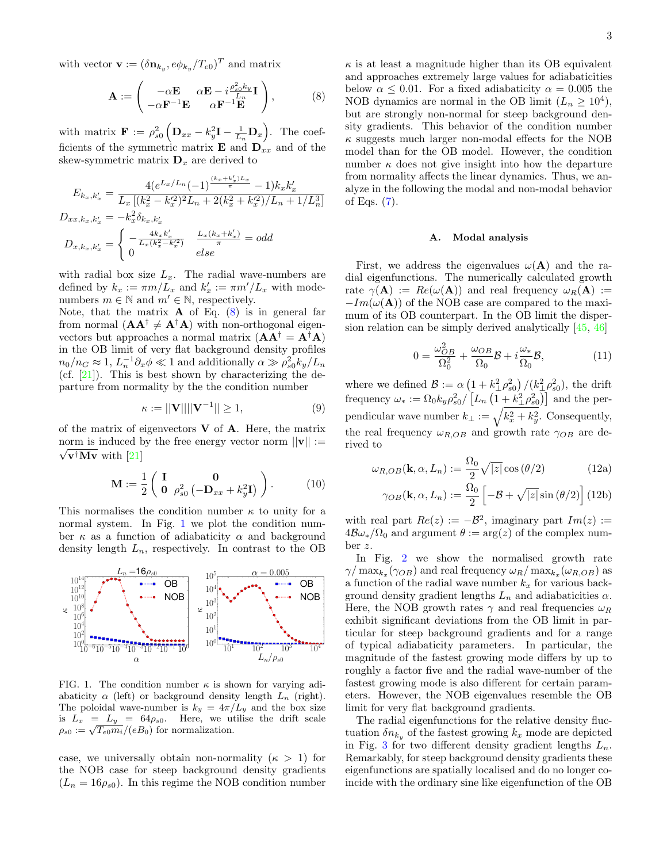with vector  $\mathbf{v} := (\delta \mathbf{n}_{k_y}, e \phi_{k_y}/T_{e0})^T$  and matrix

<span id="page-2-0"></span>
$$
\mathbf{A} := \begin{pmatrix} -\alpha \mathbf{E} & \alpha \mathbf{E} - i \frac{\rho_{so}^2 k_y}{L_n} \mathbf{I} \\ -\alpha \mathbf{F}^{-1} \mathbf{E} & \alpha \mathbf{F}^{-1} \mathbf{E} \end{pmatrix}, \quad (8)
$$

with matrix  $\mathbf{F} := \rho_{s0}^2 \left( \mathbf{D}_{xx} - k_y^2 \mathbf{I} - \frac{1}{L_n} \mathbf{D}_x \right)$ . The coefficients of the symmetric matrix **E** and  $\mathbf{D}_{xx}$  and of the skew-symmetric matrix  $\mathbf{D}_x$  are derived to

$$
E_{k_x, k'_x} = \frac{4(e^{L_x/L_n}(-1)^{\frac{(k_x + k'_x)L_x}{\pi}} - 1)k_x k'_x}{L_x [(k_x^2 - k_x'^2)^2 L_n + 2(k_x^2 + k_x'^2)/L_n + 1/L_n^3]}
$$
  

$$
D_{xx, k_x, k'_x} = -k_x^2 \delta_{k_x, k'_x}
$$
  

$$
D_{x, k_x, k'_x} = \begin{cases} -\frac{4k_x k'_x}{L_x (k_x^2 - k_x'^2)} & \frac{L_x (k_x + k'_x)}{\pi} = odd\\ 0 & else \end{cases}
$$

with radial box size  $L_x$ . The radial wave-numbers are defined by  $k_x := \pi m/L_x$  and  $k'_x := \pi m'/L_x$  with modenumbers  $m \in \mathbb{N}$  and  $m' \in \mathbb{N}$ , respectively.

Note, that the matrix  $\bf{A}$  of Eq. [\(8\)](#page-2-0) is in general far from normal  $(AA^{\dagger} \neq A^{\dagger}A)$  with non-orthogonal eigenvectors but approaches a normal matrix  $(AA^{\dagger} = A^{\dagger}A)$ in the OB limit of very flat background density profiles  $n_0/n_G \approx 1, L_n^{-1}\partial_x\phi \ll 1$  and additionally  $\alpha \gg \rho_{s0}^2 k_y/L_n$ (cf.  $[21]$ ). This is best shown by characterizing the departure from normality by the the condition number

$$
\kappa := ||\mathbf{V}|| ||\mathbf{V}^{-1}|| \ge 1,\tag{9}
$$

of the matrix of eigenvectors  $V$  of  $A$ . Here, the matrix norm is induced by the free energy vector norm  $||\mathbf{v}|| :=$  $\sqrt{\mathbf{v}^\dagger \mathbf{M} \mathbf{v}}$  with [\[21\]](#page-5-10)

$$
\mathbf{M} := \frac{1}{2} \begin{pmatrix} \mathbf{I} & \mathbf{0} \\ \mathbf{0} & \rho_{s0}^2 \left( -\mathbf{D}_{xx} + k_y^2 \mathbf{I} \right) \end{pmatrix} . \tag{10}
$$

This normalises the condition number  $\kappa$  to unity for a normal system. In Fig. [1](#page-2-1) we plot the condition number  $\kappa$  as a function of adiabaticity  $\alpha$  and background density length  $L_n$ , respectively. In contrast to the OB



<span id="page-2-1"></span>FIG. 1. The condition number  $\kappa$  is shown for varying adiabaticity  $\alpha$  (left) or background density length  $L_n$  (right). The poloidal wave-number is  $k_y = 4\pi/L_y$  and the box size is  $L_x = L_y = 64\rho_{s0}$ . Here, we utilise the drift scale  $\rho_{s0} := \sqrt{T_{e0}m_i}/(eB_0)$  for normalization.

case, we universally obtain non-normality  $(\kappa > 1)$  for the NOB case for steep background density gradients  $(L_n = 16\rho_{s0})$ . In this regime the NOB condition number

 $\kappa$  is at least a magnitude higher than its OB equivalent and approaches extremely large values for adiabaticities below  $\alpha \leq 0.01$ . For a fixed adiabaticity  $\alpha = 0.005$  the NOB dynamics are normal in the OB limit  $(L_n \geq 10^4)$ , but are strongly non-normal for steep background density gradients. This behavior of the condition number  $\kappa$  suggests much larger non-modal effects for the NOB model than for the OB model. However, the condition number  $\kappa$  does not give insight into how the departure from normality affects the linear dynamics. Thus, we analyze in the following the modal and non-modal behavior of Eqs.  $(7)$ .

#### <span id="page-2-2"></span>A. Modal analysis

First, we address the eigenvalues  $\omega(A)$  and the radial eigenfunctions. The numerically calculated growth rate  $\gamma(A) := Re(\omega(A))$  and real frequency  $\omega_R(A) :=$  $-Im(\omega({\bf A}))$  of the NOB case are compared to the maximum of its OB counterpart. In the OB limit the dispersion relation can be simply derived analytically [\[45,](#page-6-19) [46\]](#page-6-20)

$$
0 = \frac{\omega_{OB}^2}{\Omega_0^2} + \frac{\omega_{OB}}{\Omega_0} \mathcal{B} + i \frac{\omega_*}{\Omega_0} \mathcal{B},\tag{11}
$$

where we defined  $\mathcal{B} := \alpha \left(1 + k_{\perp}^2 \rho_{s0}^2\right) / (k_{\perp}^2 \rho_{s0}^2)$ , the drift frequency  $\omega_* := \Omega_0 k_y \rho_{s0}^2 / \left[ L_n \left( 1 + k_\perp^2 \rho_{s0}^2 \right) \right]$  and the perpendicular wave number  $k_{\perp} := \sqrt{k_x^2 + k_y^2}$ . Consequently, the real frequency  $\omega_{R,OB}$  and growth rate  $\gamma_{OB}$  are derived to

$$
\omega_{R,OB}(\mathbf{k}, \alpha, L_n) := \frac{\Omega_0}{2} \sqrt{|z|} \cos(\theta/2)
$$
 (12a)

$$
\gamma_{OB}(\mathbf{k}, \alpha, L_n) := \frac{\Omega_0}{2} \left[ -\mathcal{B} + \sqrt{|z|} \sin (\theta/2) \right] (12b)
$$

with real part  $Re(z) := -B^2$ , imaginary part  $Im(z) :=$  $4\mathcal{B}\omega_*/\Omega_0$  and argument  $\theta := \arg(z)$  of the complex number z.

In Fig. [2](#page-3-0) we show the normalised growth rate  $\gamma/\max_{k_x}(\gamma_{OB})$  and real frequency  $\omega_R/\max_{k_x}(\omega_{R,OB})$  as a function of the radial wave number  $k_x$  for various background density gradient lengths  $L_n$  and adiabaticities  $\alpha$ . Here, the NOB growth rates  $\gamma$  and real frequencies  $\omega_R$ exhibit significant deviations from the OB limit in particular for steep background gradients and for a range of typical adiabaticity parameters. In particular, the magnitude of the fastest growing mode differs by up to roughly a factor five and the radial wave-number of the fastest growing mode is also different for certain parameters. However, the NOB eigenvalues resemble the OB limit for very flat background gradients.

The radial eigenfunctions for the relative density fluctuation  $\delta n_{k_y}$  of the fastest growing  $k_x$  mode are depicted in Fig. [3](#page-3-1) for two different density gradient lengths  $L_n$ . Remarkably, for steep background density gradients these eigenfunctions are spatially localised and do no longer coincide with the ordinary sine like eigenfunction of the OB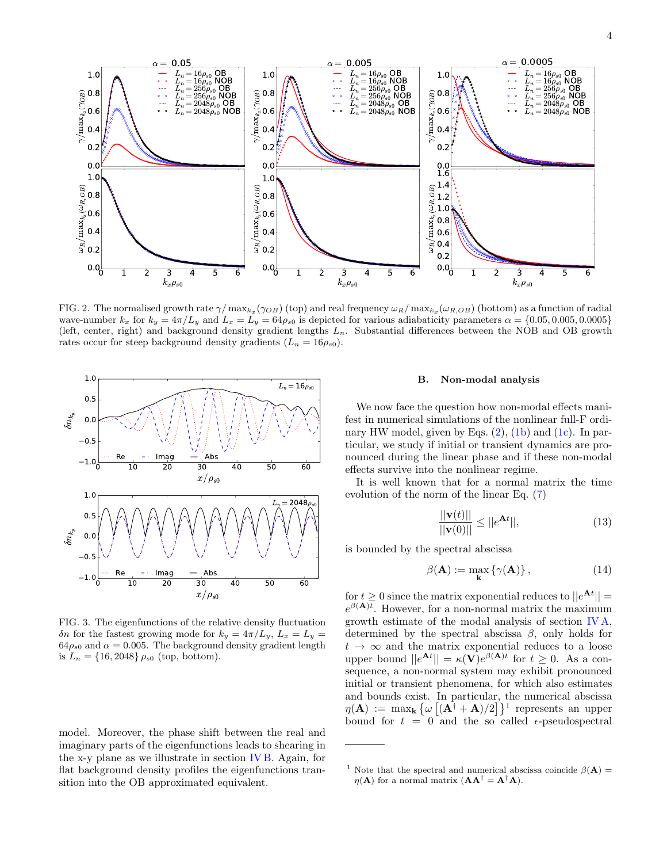

<span id="page-3-0"></span>FIG. 2. The normalised growth rate  $\gamma/\max_{k_x}(\gamma_{OB})$  (top) and real frequency  $\omega_R/\max_{k_x}(\omega_{R,OB})$  (bottom) as a function of radial wave-number  $k_x$  for  $k_y = 4\pi/L_y$  and  $L_x = L_y = 64\rho_{s0}$  is depicted for various adiabaticity parameters  $\alpha = \{0.05, 0.005, 0.0005\}$ (left, center, right) and background density gradient lengths  $L_n$ . Substantial differences between the NOB and OB growth rates occur for steep background density gradients  $(L_n = 16\rho_{s0})$ .



<span id="page-3-1"></span>FIG. 3. The eigenfunctions of the relative density fluctuation δn for the fastest growing mode for  $k_y = 4π/L_y$ ,  $L_x = L_y$  $64\rho_{s0}$  and  $\alpha = 0.005$ . The background density gradient length is  $L_n = \{16, 2048\} \rho_{s0}$  (top, bottom).

model. Moreover, the phase shift between the real and imaginary parts of the eigenfunctions leads to shearing in the x-y plane as we illustrate in section [IV B.](#page-3-2) Again, for flat background density profiles the eigenfunctions transition into the OB approximated equivalent.

#### <span id="page-3-2"></span>B. Non-modal analysis

We now face the question how non-modal effects manifest in numerical simulations of the nonlinear full-F ordinary HW model, given by Eqs.  $(2)$ ,  $(1b)$  and  $(1c)$ . In particular, we study if initial or transient dynamics are pronounced during the linear phase and if these non-modal effects survive into the nonlinear regime.

It is well known that for a normal matrix the time evolution of the norm of the linear Eq. [\(7\)](#page-1-4)

$$
\frac{||\mathbf{v}(t)||}{||\mathbf{v}(0)||} \le ||e^{\mathbf{A}t}||,\tag{13}
$$

is bounded by the spectral abscissa

$$
\beta(\mathbf{A}) := \max_{\mathbf{k}} \left\{ \gamma(\mathbf{A}) \right\},\tag{14}
$$

for  $t \geq 0$  since the matrix exponential reduces to  $||e^{\mathbf{A}t}|| =$  $e^{\beta({\bf A})t}$ . However, for a non-normal matrix the maximum growth estimate of the modal analysis of section [IV A,](#page-2-2) determined by the spectral abscissa  $\beta$ , only holds for  $t \rightarrow \infty$  and the matrix exponential reduces to a loose upper bound  $||e^{\mathbf{A}t}|| = \kappa(\mathbf{V})e^{\beta(\mathbf{A})t}$  for  $t \geq 0$ . As a consequence, a non-normal system may exhibit pronounced initial or transient phenomena, for which also estimates and bounds exist. In particular, the numerical abscissa  $\eta(A) := \max_{\mathbf{k}} \left\{ \omega \left[ (\mathbf{A}^{\dagger} + \mathbf{A})/2 \right] \right\}^1$  $\eta(A) := \max_{\mathbf{k}} \left\{ \omega \left[ (\mathbf{A}^{\dagger} + \mathbf{A})/2 \right] \right\}^1$  represents an upper bound for  $t = 0$  and the so called  $\epsilon$ -pseudospectral

<span id="page-3-3"></span><sup>&</sup>lt;sup>1</sup> Note that the spectral and numerical abscissa coincide  $\beta$ (**A**) =  $\eta(A)$  for a normal matrix  $(AA^{\dagger} = A^{\dagger}A)$ .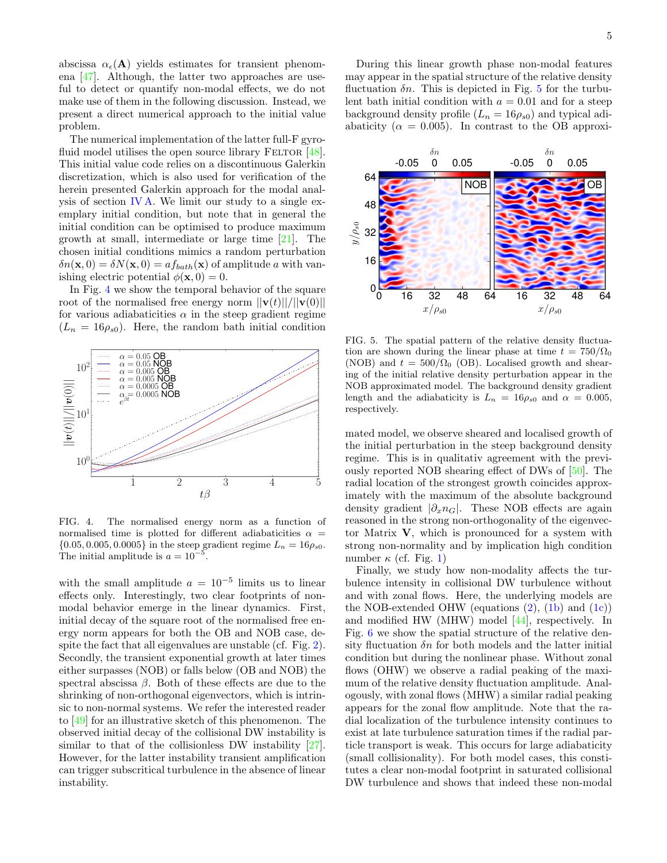abscissa  $\alpha_{\epsilon}(\mathbf{A})$  yields estimates for transient phenomena [\[47\]](#page-6-21). Although, the latter two approaches are useful to detect or quantify non-modal effects, we do not make use of them in the following discussion. Instead, we present a direct numerical approach to the initial value problem.

The numerical implementation of the latter full-F gyrofluid model utilises the open source library FELTOR  $[48]$ . This initial value code relies on a discontinuous Galerkin discretization, which is also used for verification of the herein presented Galerkin approach for the modal analysis of section [IV A.](#page-2-2) We limit our study to a single exemplary initial condition, but note that in general the initial condition can be optimised to produce maximum growth at small, intermediate or large time [\[21\]](#page-5-10). The chosen initial conditions mimics a random perturbation  $\delta n(\mathbf{x},0) = \delta N(\mathbf{x},0) = af_{bath}(\mathbf{x})$  of amplitude a with vanishing electric potential  $\phi(\mathbf{x}, 0) = 0$ .

In Fig. [4](#page-4-0) we show the temporal behavior of the square root of the normalised free energy norm  $||\mathbf{v}(t)||/||\mathbf{v}(0)||$ for various adiabaticities  $\alpha$  in the steep gradient regime  $(L_n = 16\rho_{s0})$ . Here, the random bath initial condition



<span id="page-4-0"></span>FIG. 4. The normalised energy norm as a function of normalised time is plotted for different adiabaticities  $\alpha =$  ${0.05, 0.005, 0.0005}$  in the steep gradient regime  $L_n = 16 \rho_{s0}$ . The initial amplitude is  $a = 10^{-5}$ .

with the small amplitude  $a = 10^{-5}$  limits us to linear effects only. Interestingly, two clear footprints of nonmodal behavior emerge in the linear dynamics. First, initial decay of the square root of the normalised free energy norm appears for both the OB and NOB case, despite the fact that all eigenvalues are unstable (cf. Fig. [2\)](#page-3-0). Secondly, the transient exponential growth at later times either surpasses (NOB) or falls below (OB and NOB) the spectral abscissa  $\beta$ . Both of these effects are due to the shrinking of non-orthogonal eigenvectors, which is intrinsic to non-normal systems. We refer the interested reader to [\[49\]](#page-6-23) for an illustrative sketch of this phenomenon. The observed initial decay of the collisional DW instability is similar to that of the collisionless DW instability [\[27\]](#page-6-2). However, for the latter instability transient amplification can trigger subscritical turbulence in the absence of linear instability.

During this linear growth phase non-modal features may appear in the spatial structure of the relative density fluctuation  $\delta n$ . This is depicted in Fig. [5](#page-4-1) for the turbulent bath initial condition with  $a = 0.01$  and for a steep background density profile  $(L_n = 16\rho_{s0})$  and typical adiabaticity ( $\alpha = 0.005$ ). In contrast to the OB approxi-



<span id="page-4-1"></span>FIG. 5. The spatial pattern of the relative density fluctuation are shown during the linear phase at time  $t = 750/\Omega_0$ (NOB) and  $t = 500/\Omega_0$  (OB). Localised growth and shearing of the initial relative density perturbation appear in the NOB approximated model. The background density gradient length and the adiabaticity is  $L_n = 16 \rho_{s0}$  and  $\alpha = 0.005$ , respectively.

mated model, we observe sheared and localised growth of the initial perturbation in the steep background density regime. This is in qualitativ agreement with the previously reported NOB shearing effect of DWs of [\[50\]](#page-6-24). The radial location of the strongest growth coincides approximately with the maximum of the absolute background density gradient  $|\partial_x n_G|$ . These NOB effects are again reasoned in the strong non-orthogonality of the eigenvector Matrix V, which is pronounced for a system with strong non-normality and by implication high condition number  $\kappa$  (cf. Fig. [1\)](#page-2-1)

Finally, we study how non-modality affects the turbulence intensity in collisional DW turbulence without and with zonal flows. Here, the underlying models are the NOB-extended OHW (equations  $(2)$ ,  $(1b)$  and  $(1c)$ ) and modified HW (MHW) model [\[44\]](#page-6-18), respectively. In Fig. [6](#page-5-11) we show the spatial structure of the relative density fluctuation  $\delta n$  for both models and the latter initial condition but during the nonlinear phase. Without zonal flows (OHW) we observe a radial peaking of the maximum of the relative density fluctuation amplitude. Analogously, with zonal flows (MHW) a similar radial peaking appears for the zonal flow amplitude. Note that the radial localization of the turbulence intensity continues to exist at late turbulence saturation times if the radial particle transport is weak. This occurs for large adiabaticity (small collisionality). For both model cases, this constitutes a clear non-modal footprint in saturated collisional DW turbulence and shows that indeed these non-modal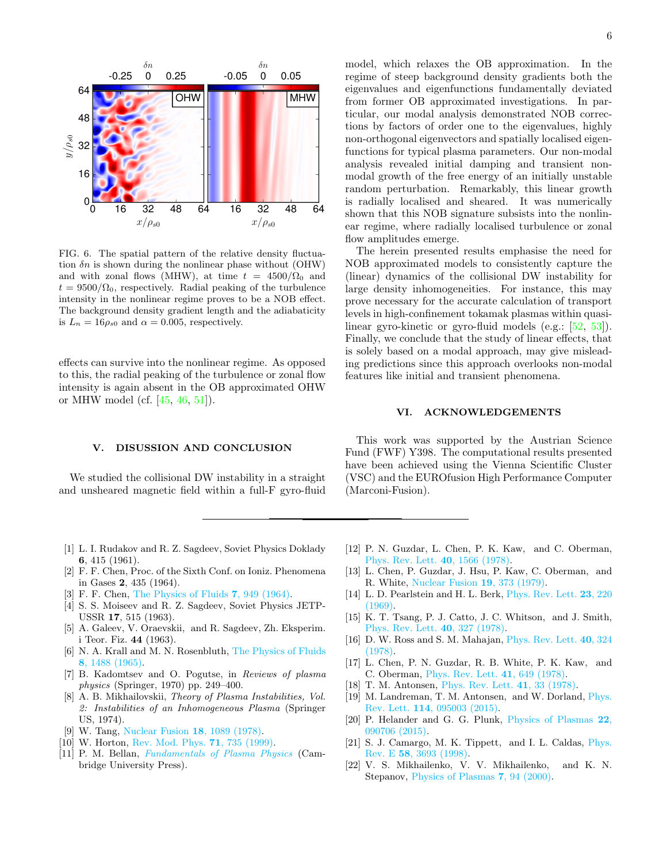

<span id="page-5-11"></span>FIG. 6. The spatial pattern of the relative density fluctuation  $\delta n$  is shown during the nonlinear phase without (OHW) and with zonal flows (MHW), at time  $t = 4500/\Omega_0$  and  $t = 9500/\Omega_0$ , respectively. Radial peaking of the turbulence intensity in the nonlinear regime proves to be a NOB effect. The background density gradient length and the adiabaticity is  $L_n = 16 \rho_{s0}$  and  $\alpha = 0.005$ , respectively.

effects can survive into the nonlinear regime. As opposed to this, the radial peaking of the turbulence or zonal flow intensity is again absent in the OB approximated OHW or MHW model (cf. [\[45,](#page-6-19) [46,](#page-6-20) [51\]](#page-6-25)).

### V. DISUSSION AND CONCLUSION

We studied the collisional DW instability in a straight and unsheared magnetic field within a full-F gyro-fluid model, which relaxes the OB approximation. In the regime of steep background density gradients both the eigenvalues and eigenfunctions fundamentally deviated from former OB approximated investigations. In particular, our modal analysis demonstrated NOB corrections by factors of order one to the eigenvalues, highly non-orthogonal eigenvectors and spatially localised eigenfunctions for typical plasma parameters. Our non-modal analysis revealed initial damping and transient nonmodal growth of the free energy of an initially unstable random perturbation. Remarkably, this linear growth is radially localised and sheared. It was numerically shown that this NOB signature subsists into the nonlinear regime, where radially localised turbulence or zonal flow amplitudes emerge.

The herein presented results emphasise the need for NOB approximated models to consistently capture the (linear) dynamics of the collisional DW instability for large density inhomogeneities. For instance, this may prove necessary for the accurate calculation of transport levels in high-confinement tokamak plasmas within quasilinear gyro-kinetic or gyro-fluid models (e.g.: [\[52,](#page-6-26) [53\]](#page-6-27)). Finally, we conclude that the study of linear effects, that is solely based on a modal approach, may give misleading predictions since this approach overlooks non-modal features like initial and transient phenomena.

#### VI. ACKNOWLEDGEMENTS

This work was supported by the Austrian Science Fund (FWF) Y398. The computational results presented have been achieved using the Vienna Scientific Cluster (VSC) and the EUROfusion High Performance Computer (Marconi-Fusion).

- <span id="page-5-0"></span>[1] L. I. Rudakov and R. Z. Sagdeev, Soviet Physics Doklady 6, 415 (1961).
- <span id="page-5-4"></span>[2] F. F. Chen, Proc. of the Sixth Conf. on Ioniz. Phenomena in Gases 2, 435 (1964).
- [3] F. F. Chen, [The Physics of Fluids](http://dx.doi.org/10.1063/1.1711341) 7, 949 (1964).
- <span id="page-5-5"></span>[4] S. S. Moiseev and R. Z. Sagdeev, Soviet Physics JETP-USSR 17, 515 (1963).
- <span id="page-5-6"></span>[5] A. Galeev, V. Oraevskii, and R. Sagdeev, Zh. Eksperim. i Teor. Fiz. 44 (1963).
- <span id="page-5-1"></span>[6] N. A. Krall and M. N. Rosenbluth, [The Physics of Fluids](http://dx.doi.org/10.1063/1.1761444) 8[, 1488 \(1965\).](http://dx.doi.org/10.1063/1.1761444)
- <span id="page-5-2"></span>[7] B. Kadomtsev and O. Pogutse, in Reviews of plasma physics (Springer, 1970) pp. 249–400.
- [8] A. B. Mikhailovskii, Theory of Plasma Instabilities, Vol. 2: Instabilities of an Inhomogeneous Plasma (Springer US, 1974).
- [9] W. Tang, [Nuclear Fusion](http://dx.doi.org/10.1088/0029-5515/18/8/006) 18, 1089 (1978).
- [10] W. Horton, [Rev. Mod. Phys.](http://dx.doi.org/10.1103/RevModPhys.71.735) **71**, 735 (1999).
- <span id="page-5-3"></span>[11] P. M. Bellan, [Fundamentals of Plasma Physics](http://dx.doi.org/10.1017/CBO9780511807183) (Cambridge University Press).
- <span id="page-5-7"></span>[12] P. N. Guzdar, L. Chen, P. K. Kaw, and C. Oberman, [Phys. Rev. Lett.](http://dx.doi.org/10.1103/PhysRevLett.40.1566) 40, 1566 (1978).
- [13] L. Chen, P. Guzdar, J. Hsu, P. Kaw, C. Oberman, and R. White, [Nuclear Fusion](http://dx.doi.org/10.1088/0029-5515/19/3/009) 19, 373 (1979).
- [14] L. D. Pearlstein and H. L. Berk, [Phys. Rev. Lett.](http://dx.doi.org/10.1103/PhysRevLett.23.220) 23, 220 [\(1969\).](http://dx.doi.org/10.1103/PhysRevLett.23.220)
- [15] K. T. Tsang, P. J. Catto, J. C. Whitson, and J. Smith, [Phys. Rev. Lett.](http://dx.doi.org/10.1103/PhysRevLett.40.327) 40, 327 (1978).
- [16] D. W. Ross and S. M. Mahajan, [Phys. Rev. Lett.](http://dx.doi.org/10.1103/PhysRevLett.40.324) 40, 324 [\(1978\).](http://dx.doi.org/10.1103/PhysRevLett.40.324)
- [17] L. Chen, P. N. Guzdar, R. B. White, P. K. Kaw, and C. Oberman, [Phys. Rev. Lett.](http://dx.doi.org/ 10.1103/PhysRevLett.41.649) 41, 649 (1978).
- [18] T. M. Antonsen, [Phys. Rev. Lett.](http://dx.doi.org/10.1103/PhysRevLett.41.33) 41, 33 (1978).
- <span id="page-5-9"></span>[19] M. Landreman, T. M. Antonsen, and W. Dorland, *[Phys.](http://dx.doi.org/10.1103/PhysRevLett.114.095003)* Rev. Lett. 114[, 095003 \(2015\).](http://dx.doi.org/10.1103/PhysRevLett.114.095003)
- <span id="page-5-8"></span>[20] P. Helander and G. G. Plunk, [Physics of Plasmas](http://dx.doi.org/10.1063/1.4932081) 22, [090706 \(2015\).](http://dx.doi.org/10.1063/1.4932081)
- <span id="page-5-10"></span>[21] S. J. Camargo, M. K. Tippett, and I. L. Caldas, [Phys.](http://dx.doi.org/10.1103/PhysRevE.58.3693) Rev. E 58[, 3693 \(1998\).](http://dx.doi.org/10.1103/PhysRevE.58.3693)
- [22] V. S. Mikhailenko, V. V. Mikhailenko, and K. N. Stepanov, [Physics of Plasmas](http://dx.doi.org/10.1063/1.873785) 7, 94 (2000).